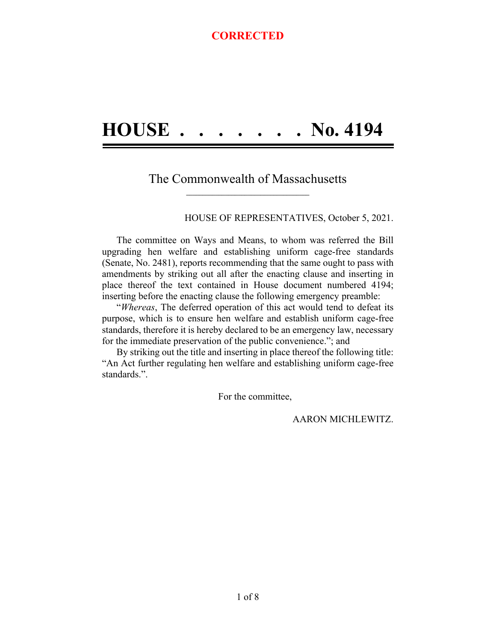## **HOUSE . . . . . . . No. 4194**

#### The Commonwealth of Massachusetts **\_\_\_\_\_\_\_\_\_\_\_\_\_\_\_\_\_\_\_\_\_\_\_\_\_\_\_\_\_\_\_\_\_\_\_\_\_\_**

HOUSE OF REPRESENTATIVES, October 5, 2021.

The committee on Ways and Means, to whom was referred the Bill upgrading hen welfare and establishing uniform cage-free standards (Senate, No. 2481), reports recommending that the same ought to pass with amendments by striking out all after the enacting clause and inserting in place thereof the text contained in House document numbered 4194; inserting before the enacting clause the following emergency preamble:

"*Whereas*, The deferred operation of this act would tend to defeat its purpose, which is to ensure hen welfare and establish uniform cage-free standards, therefore it is hereby declared to be an emergency law, necessary for the immediate preservation of the public convenience."; and

By striking out the title and inserting in place thereof the following title: "An Act further regulating hen welfare and establishing uniform cage-free standards.".

For the committee,

AARON MICHLEWITZ.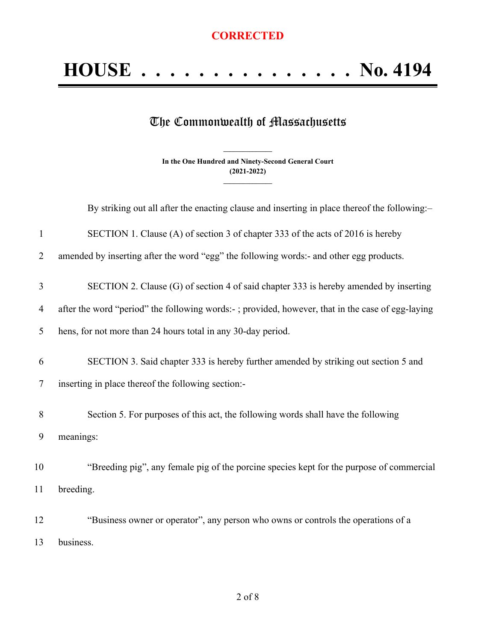# **HOUSE . . . . . . . . . . . . . . . No. 4194**

### The Commonwealth of Massachusetts

**In the One Hundred and Ninety-Second General Court (2021-2022) \_\_\_\_\_\_\_\_\_\_\_\_\_\_\_**

**\_\_\_\_\_\_\_\_\_\_\_\_\_\_\_**

|                | By striking out all after the enacting clause and inserting in place thereof the following:-     |
|----------------|--------------------------------------------------------------------------------------------------|
| $\mathbf{1}$   | SECTION 1. Clause (A) of section 3 of chapter 333 of the acts of 2016 is hereby                  |
| $\overline{2}$ | amended by inserting after the word "egg" the following words:- and other egg products.          |
| 3              | SECTION 2. Clause (G) of section 4 of said chapter 333 is hereby amended by inserting            |
| $\overline{4}$ | after the word "period" the following words:-; provided, however, that in the case of egg-laying |
| 5              | hens, for not more than 24 hours total in any 30-day period.                                     |
| 6              | SECTION 3. Said chapter 333 is hereby further amended by striking out section 5 and              |
| 7              | inserting in place thereof the following section:-                                               |
| 8              | Section 5. For purposes of this act, the following words shall have the following                |
| 9              | meanings:                                                                                        |
| 10             | "Breeding pig", any female pig of the porcine species kept for the purpose of commercial         |
| 11             | breeding.                                                                                        |
| 12             | "Business owner or operator", any person who owns or controls the operations of a                |
| 13             | business.                                                                                        |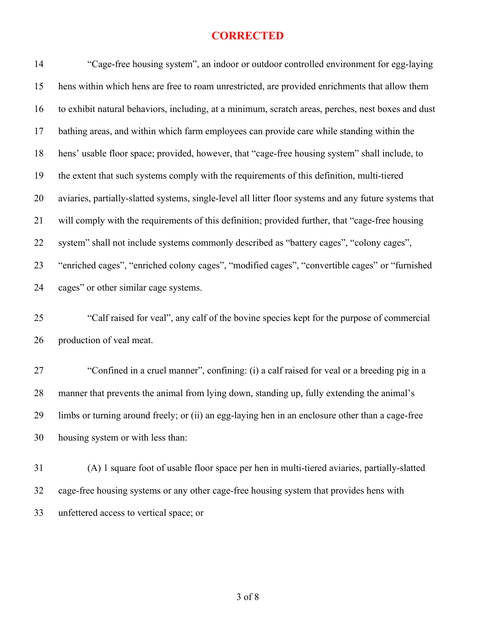| 14 | "Cage-free housing system", an indoor or outdoor controlled environment for egg-laying                 |
|----|--------------------------------------------------------------------------------------------------------|
| 15 | hens within which hens are free to roam unrestricted, are provided enrichments that allow them         |
| 16 | to exhibit natural behaviors, including, at a minimum, scratch areas, perches, nest boxes and dust     |
| 17 | bathing areas, and within which farm employees can provide care while standing within the              |
| 18 | hens' usable floor space; provided, however, that "cage-free housing system" shall include, to         |
| 19 | the extent that such systems comply with the requirements of this definition, multi-tiered             |
| 20 | aviaries, partially-slatted systems, single-level all litter floor systems and any future systems that |
| 21 | will comply with the requirements of this definition; provided further, that "cage-free housing        |
| 22 | system" shall not include systems commonly described as "battery cages", "colony cages",               |
| 23 | "enriched cages", "enriched colony cages", "modified cages", "convertible cages" or "furnished         |
| 24 | cages" or other similar cage systems.                                                                  |
| 25 | "Calf raised for veal", any calf of the bovine species kept for the purpose of commercial              |
| 26 | production of veal meat.                                                                               |
| 27 | "Confined in a cruel manner", confining: (i) a calf raised for veal or a breeding pig in a             |
| 28 | manner that prevents the animal from lying down, standing up, fully extending the animal's             |
| 29 | limbs or turning around freely; or (ii) an egg-laying hen in an enclosure other than a cage-free       |
| 30 | housing system or with less than:                                                                      |
| 31 | (A) 1 square foot of usable floor space per hen in multi-tiered aviaries, partially-slatted            |
| 32 | cage-free housing systems or any other cage-free housing system that provides hens with                |
| 33 | unfettered access to vertical space; or                                                                |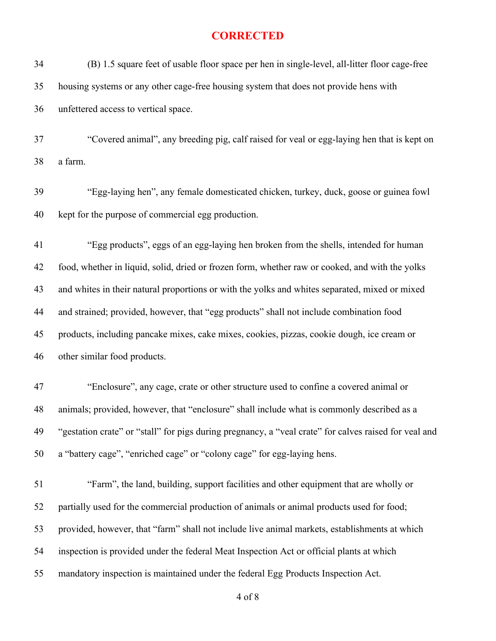| 34 | (B) 1.5 square feet of usable floor space per hen in single-level, all-litter floor cage-free         |
|----|-------------------------------------------------------------------------------------------------------|
| 35 | housing systems or any other cage-free housing system that does not provide hens with                 |
| 36 | unfettered access to vertical space.                                                                  |
| 37 | "Covered animal", any breeding pig, calf raised for veal or egg-laying hen that is kept on            |
| 38 | a farm.                                                                                               |
| 39 | "Egg-laying hen", any female domesticated chicken, turkey, duck, goose or guinea fowl                 |
| 40 | kept for the purpose of commercial egg production.                                                    |
| 41 | "Egg products", eggs of an egg-laying hen broken from the shells, intended for human                  |
| 42 | food, whether in liquid, solid, dried or frozen form, whether raw or cooked, and with the yolks       |
| 43 | and whites in their natural proportions or with the yolks and whites separated, mixed or mixed        |
| 44 | and strained; provided, however, that "egg products" shall not include combination food               |
| 45 | products, including pancake mixes, cake mixes, cookies, pizzas, cookie dough, ice cream or            |
| 46 | other similar food products.                                                                          |
| 47 | "Enclosure", any cage, crate or other structure used to confine a covered animal or                   |
| 48 | animals; provided, however, that "enclosure" shall include what is commonly described as a            |
| 49 | "gestation crate" or "stall" for pigs during pregnancy, a "veal crate" for calves raised for veal and |
| 50 | a "battery cage", "enriched cage" or "colony cage" for egg-laying hens.                               |
| 51 | "Farm", the land, building, support facilities and other equipment that are wholly or                 |
| 52 | partially used for the commercial production of animals or animal products used for food;             |
| 53 | provided, however, that "farm" shall not include live animal markets, establishments at which         |
| 54 | inspection is provided under the federal Meat Inspection Act or official plants at which              |
| 55 | mandatory inspection is maintained under the federal Egg Products Inspection Act.                     |

of 8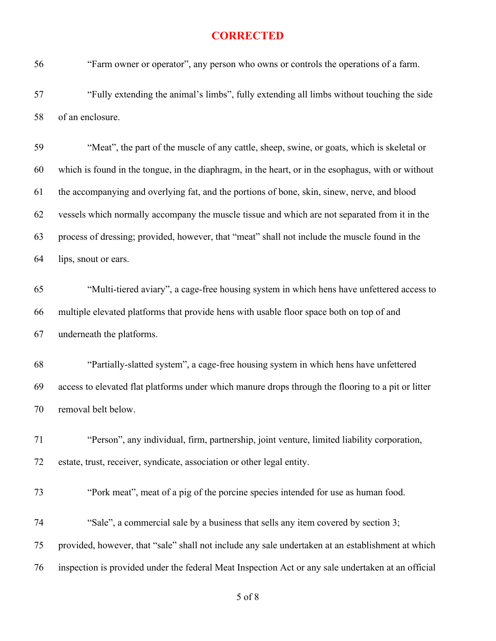"Farm owner or operator", any person who owns or controls the operations of a farm.

 "Fully extending the animal's limbs", fully extending all limbs without touching the side of an enclosure.

 "Meat", the part of the muscle of any cattle, sheep, swine, or goats, which is skeletal or which is found in the tongue, in the diaphragm, in the heart, or in the esophagus, with or without the accompanying and overlying fat, and the portions of bone, skin, sinew, nerve, and blood vessels which normally accompany the muscle tissue and which are not separated from it in the process of dressing; provided, however, that "meat" shall not include the muscle found in the lips, snout or ears.

 "Multi-tiered aviary", a cage-free housing system in which hens have unfettered access to multiple elevated platforms that provide hens with usable floor space both on top of and underneath the platforms.

 "Partially-slatted system", a cage-free housing system in which hens have unfettered access to elevated flat platforms under which manure drops through the flooring to a pit or litter removal belt below.

 "Person", any individual, firm, partnership, joint venture, limited liability corporation, estate, trust, receiver, syndicate, association or other legal entity.

"Pork meat", meat of a pig of the porcine species intended for use as human food.

 "Sale", a commercial sale by a business that sells any item covered by section 3; provided, however, that "sale" shall not include any sale undertaken at an establishment at which inspection is provided under the federal Meat Inspection Act or any sale undertaken at an official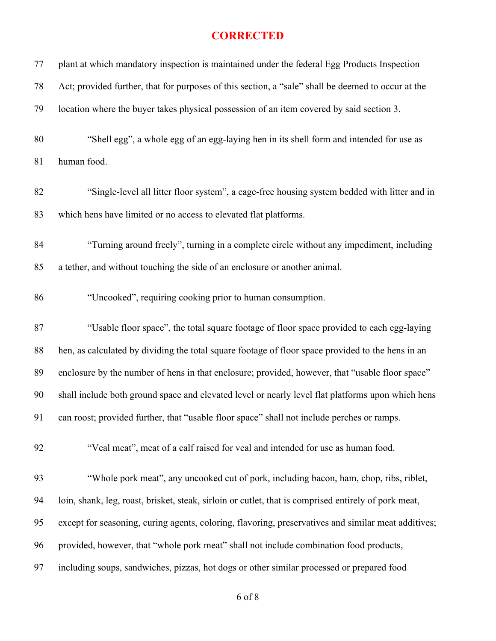| 77 | plant at which mandatory inspection is maintained under the federal Egg Products Inspection          |
|----|------------------------------------------------------------------------------------------------------|
| 78 | Act; provided further, that for purposes of this section, a "sale" shall be deemed to occur at the   |
| 79 | location where the buyer takes physical possession of an item covered by said section 3.             |
| 80 | "Shell egg", a whole egg of an egg-laying hen in its shell form and intended for use as              |
| 81 | human food.                                                                                          |
| 82 | "Single-level all litter floor system", a cage-free housing system bedded with litter and in         |
| 83 | which hens have limited or no access to elevated flat platforms.                                     |
| 84 | "Turning around freely", turning in a complete circle without any impediment, including              |
| 85 | a tether, and without touching the side of an enclosure or another animal.                           |
| 86 | "Uncooked", requiring cooking prior to human consumption.                                            |
| 87 | "Usable floor space", the total square footage of floor space provided to each egg-laying            |
| 88 | hen, as calculated by dividing the total square footage of floor space provided to the hens in an    |
| 89 | enclosure by the number of hens in that enclosure; provided, however, that "usable floor space"      |
| 90 | shall include both ground space and elevated level or nearly level flat platforms upon which hens    |
| 91 | can roost; provided further, that "usable floor space" shall not include perches or ramps.           |
| 92 | "Veal meat", meat of a calf raised for veal and intended for use as human food.                      |
| 93 | "Whole pork meat", any uncooked cut of pork, including bacon, ham, chop, ribs, riblet,               |
| 94 | loin, shank, leg, roast, brisket, steak, sirloin or cutlet, that is comprised entirely of pork meat, |
| 95 | except for seasoning, curing agents, coloring, flavoring, preservatives and similar meat additives;  |
| 96 | provided, however, that "whole pork meat" shall not include combination food products,               |
| 97 | including soups, sandwiches, pizzas, hot dogs or other similar processed or prepared food            |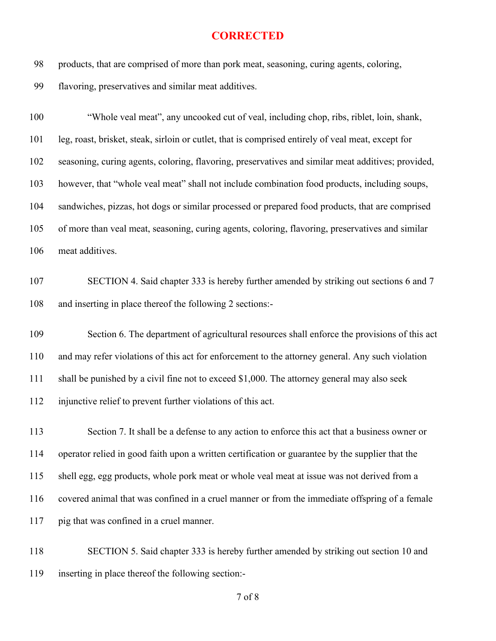products, that are comprised of more than pork meat, seasoning, curing agents, coloring,

flavoring, preservatives and similar meat additives.

 "Whole veal meat", any uncooked cut of veal, including chop, ribs, riblet, loin, shank, leg, roast, brisket, steak, sirloin or cutlet, that is comprised entirely of veal meat, except for seasoning, curing agents, coloring, flavoring, preservatives and similar meat additives; provided, however, that "whole veal meat" shall not include combination food products, including soups, sandwiches, pizzas, hot dogs or similar processed or prepared food products, that are comprised of more than veal meat, seasoning, curing agents, coloring, flavoring, preservatives and similar meat additives.

 SECTION 4. Said chapter 333 is hereby further amended by striking out sections 6 and 7 and inserting in place thereof the following 2 sections:-

 Section 6. The department of agricultural resources shall enforce the provisions of this act and may refer violations of this act for enforcement to the attorney general. Any such violation shall be punished by a civil fine not to exceed \$1,000. The attorney general may also seek injunctive relief to prevent further violations of this act.

 Section 7. It shall be a defense to any action to enforce this act that a business owner or operator relied in good faith upon a written certification or guarantee by the supplier that the shell egg, egg products, whole pork meat or whole veal meat at issue was not derived from a covered animal that was confined in a cruel manner or from the immediate offspring of a female pig that was confined in a cruel manner.

 SECTION 5. Said chapter 333 is hereby further amended by striking out section 10 and inserting in place thereof the following section:-

of 8